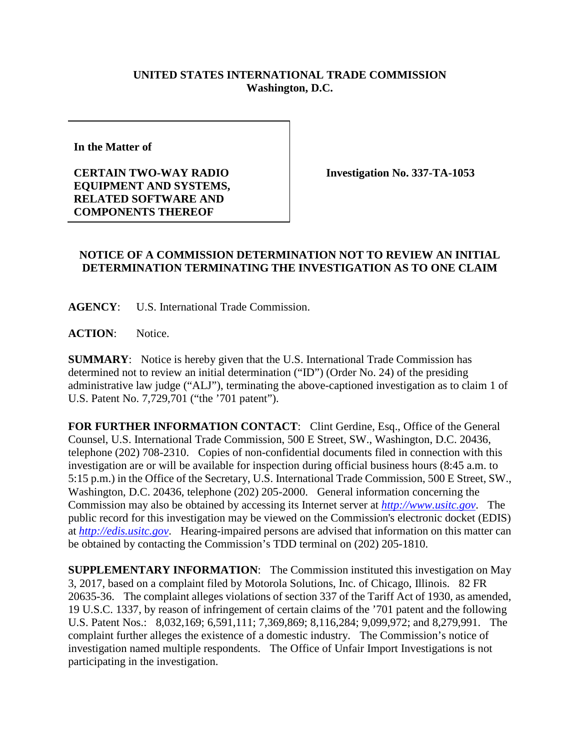## **UNITED STATES INTERNATIONAL TRADE COMMISSION Washington, D.C.**

**In the Matter of** 

**CERTAIN TWO-WAY RADIO EQUIPMENT AND SYSTEMS, RELATED SOFTWARE AND COMPONENTS THEREOF**

**Investigation No. 337-TA-1053**

## **NOTICE OF A COMMISSION DETERMINATION NOT TO REVIEW AN INITIAL DETERMINATION TERMINATING THE INVESTIGATION AS TO ONE CLAIM**

**AGENCY**: U.S. International Trade Commission.

ACTION: Notice.

**SUMMARY**: Notice is hereby given that the U.S. International Trade Commission has determined not to review an initial determination ("ID") (Order No. 24) of the presiding administrative law judge ("ALJ"), terminating the above-captioned investigation as to claim 1 of U.S. Patent No. 7,729,701 ("the '701 patent").

FOR FURTHER INFORMATION CONTACT: Clint Gerdine, Esq., Office of the General Counsel, U.S. International Trade Commission, 500 E Street, SW., Washington, D.C. 20436, telephone (202) 708-2310. Copies of non-confidential documents filed in connection with this investigation are or will be available for inspection during official business hours (8:45 a.m. to 5:15 p.m.) in the Office of the Secretary, U.S. International Trade Commission, 500 E Street, SW., Washington, D.C. 20436, telephone (202) 205-2000. General information concerning the Commission may also be obtained by accessing its Internet server at *[http://www.usitc.gov](http://www.usitc.gov/)*. The public record for this investigation may be viewed on the Commission's electronic docket (EDIS) at *[http://edis.usitc.gov](http://edis.usitc.gov/)*. Hearing-impaired persons are advised that information on this matter can be obtained by contacting the Commission's TDD terminal on (202) 205-1810.

**SUPPLEMENTARY INFORMATION**: The Commission instituted this investigation on May 3, 2017, based on a complaint filed by Motorola Solutions, Inc. of Chicago, Illinois. 82 FR 20635-36. The complaint alleges violations of section 337 of the Tariff Act of 1930, as amended, 19 U.S.C. 1337, by reason of infringement of certain claims of the '701 patent and the following U.S. Patent Nos.: 8,032,169; 6,591,111; 7,369,869; 8,116,284; 9,099,972; and 8,279,991. The complaint further alleges the existence of a domestic industry. The Commission's notice of investigation named multiple respondents. The Office of Unfair Import Investigations is not participating in the investigation.